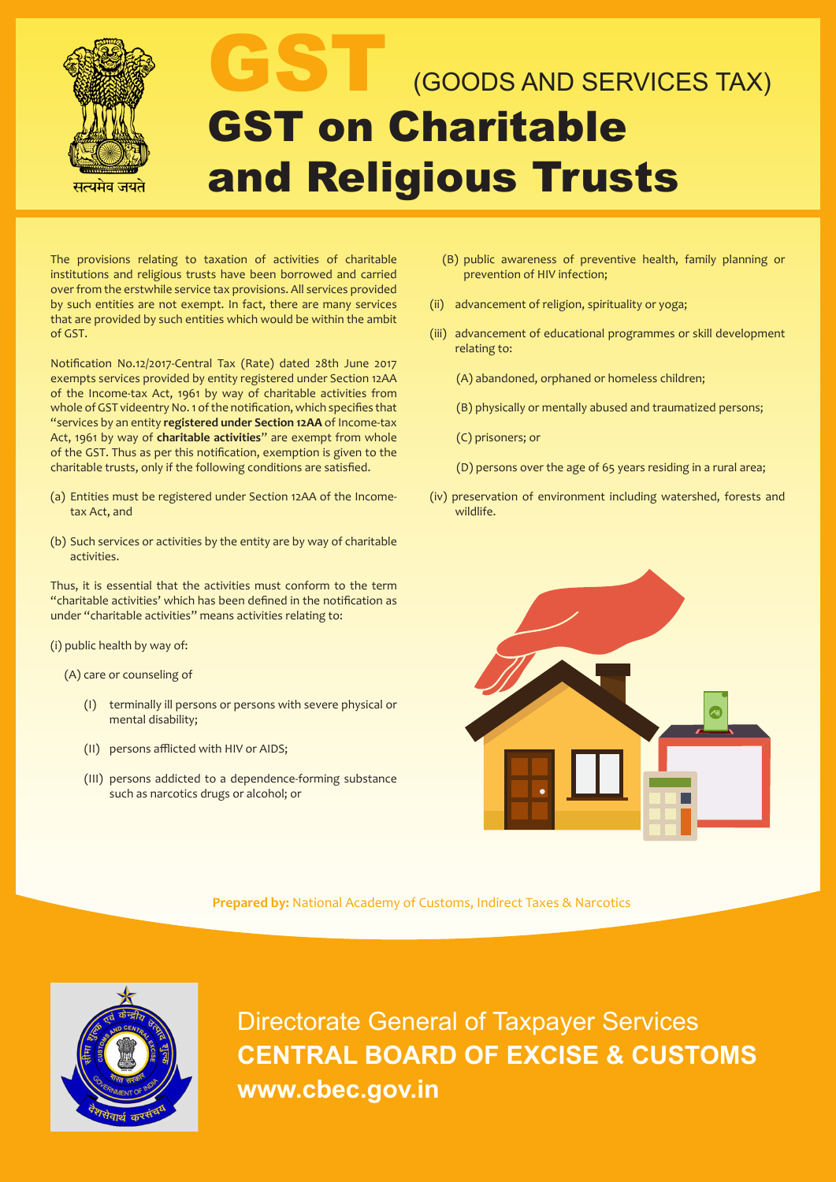

# (GOODS AND SERVICES TAX) GST on Charitable and Religious Trusts

The provisions relating to taxation of activities of charitable institutions and religious trusts have been borrowed and carried over from the erstwhile service tax provisions. All services provided by such entities are not exempt. In fact, there are many services that are provided by such entities which would be within the ambit of GST.

Notification No.12/2017-Central Tax (Rate) dated 28th June 2017 exempts services provided by entity registered under Section 12AA of the Income-tax Act, 1961 by way of charitable activities from whole of GST videentry No. 1 of the notification, which specifies that "services by an entity **registered under Section 12AA** of Income-tax Act, 1961 by way of **charitable activities**" are exempt from whole of the GST. Thus as per this notification, exemption is given to the charitable trusts, only if the following conditions are satisfied.

- (a) Entities must be registered under Section 12AA of the Incometax Act, and
- (b) Such services or activities by the entity are by way of charitable activities.

Thus, it is essential that the activities must conform to the term "charitable activities' which has been defined in the notification as under "charitable activities" means activities relating to:

(i) public health by way of:

(A) care or counseling of

- (I) terminally ill persons or persons with severe physical or mental disability;
- (II) persons afflicted with HIV or AIDS;
- (III) persons addicted to a dependence-forming substance such as narcotics drugs or alcohol; or
- (B) public awareness of preventive health, family planning or prevention of HIV infection;
- (ii) advancement of religion, spirituality or yoga;
- (iii) advancement of educational programmes or skill development relating to:

(A) abandoned, orphaned or homeless children;

- (B) physically or mentally abused and traumatized persons;
- (C) prisoners; or
- (D) persons over the age of 65 years residing in a rural area;
- (iv) preservation of environment including watershed, forests and wildlife.



**Prepared by:** National Academy of Customs, Indirect Taxes & Narcotics

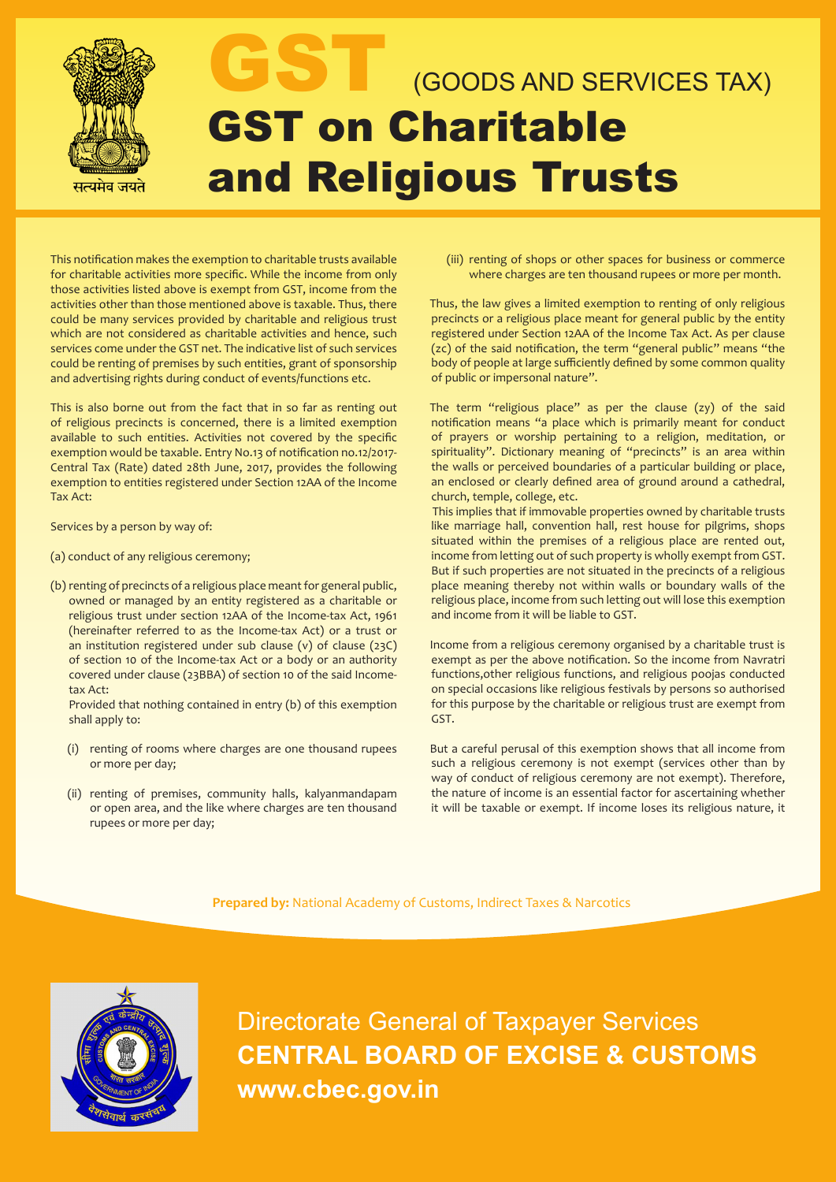

This notification makes the exemption to charitable trusts available for charitable activities more specific. While the income from only those activities listed above is exempt from GST, income from the activities other than those mentioned above is taxable. Thus, there could be many services provided by charitable and religious trust which are not considered as charitable activities and hence, such services come under the GST net. The indicative list of such services could be renting of premises by such entities, grant of sponsorship and advertising rights during conduct of events/functions etc.

This is also borne out from the fact that in so far as renting out of religious precincts is concerned, there is a limited exemption available to such entities. Activities not covered by the specific exemption would be taxable. Entry No.13 of notification no.12/2017- Central Tax (Rate) dated 28th June, 2017, provides the following exemption to entities registered under Section 12AA of the Income Tax Act:

Services by a person by way of:

- (a) conduct of any religious ceremony;
- (b) renting of precincts of a religious place meant for general public, owned or managed by an entity registered as a charitable or religious trust under section 12AA of the Income-tax Act, 1961 (hereinafter referred to as the Income-tax Act) or a trust or an institution registered under sub clause (v) of clause (23C) of section 10 of the Income-tax Act or a body or an authority covered under clause (23BBA) of section 10 of the said Incometax Act:

Provided that nothing contained in entry (b) of this exemption shall apply to:

- (i) renting of rooms where charges are one thousand rupees or more per day;
- (ii) renting of premises, community halls, kalyanmandapam or open area, and the like where charges are ten thousand rupees or more per day;

(iii) renting of shops or other spaces for business or commerce where charges are ten thousand rupees or more per month.

Thus, the law gives a limited exemption to renting of only religious precincts or a religious place meant for general public by the entity registered under Section 12AA of the Income Tax Act. As per clause (zc) of the said notification, the term "general public" means "the body of people at large sufficiently defined by some common quality of public or impersonal nature".

The term "religious place" as per the clause (zy) of the said notification means "a place which is primarily meant for conduct of prayers or worship pertaining to a religion, meditation, or spirituality". Dictionary meaning of "precincts" is an area within the walls or perceived boundaries of a particular building or place, an enclosed or clearly defined area of ground around a cathedral, church, temple, college, etc.

 This implies that if immovable properties owned by charitable trusts like marriage hall, convention hall, rest house for pilgrims, shops situated within the premises of a religious place are rented out, income from letting out of such property is wholly exempt from GST. But if such properties are not situated in the precincts of a religious place meaning thereby not within walls or boundary walls of the religious place, income from such letting out will lose this exemption and income from it will be liable to GST.

Income from a religious ceremony organised by a charitable trust is exempt as per the above notification. So the income from Navratri functions,other religious functions, and religious poojas conducted on special occasions like religious festivals by persons so authorised for this purpose by the charitable or religious trust are exempt from GST.

But a careful perusal of this exemption shows that all income from such a religious ceremony is not exempt (services other than by way of conduct of religious ceremony are not exempt). Therefore, the nature of income is an essential factor for ascertaining whether it will be taxable or exempt. If income loses its religious nature, it

**Prepared by:** National Academy of Customs, Indirect Taxes & Narcotics

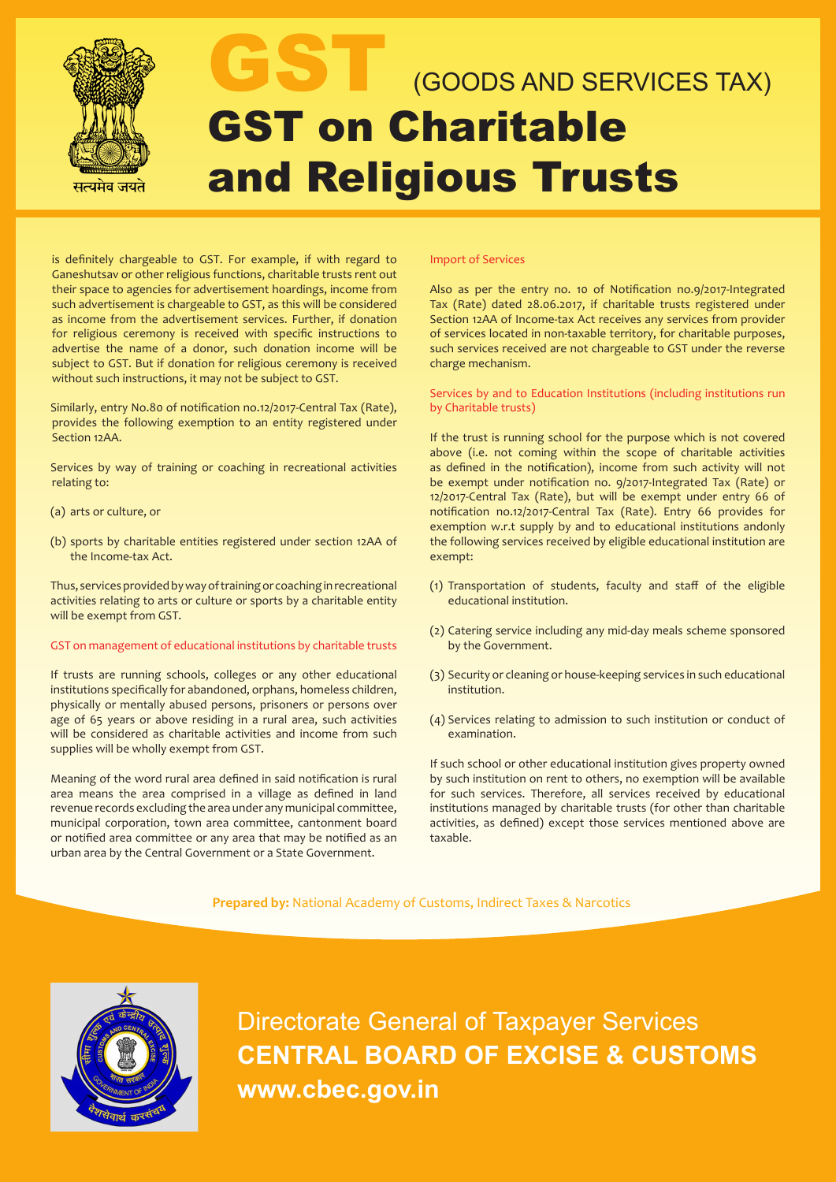

# (GOODS AND SERVICES TAX) GST on Charitable and Religious Trusts

is definitely chargeable to GST. For example, if with regard to Ganeshutsav or other religious functions, charitable trusts rent out their space to agencies for advertisement hoardings, income from such advertisement is chargeable to GST, as this will be considered as income from the advertisement services. Further, if donation for religious ceremony is received with specific instructions to advertise the name of a donor, such donation income will be subject to GST. But if donation for religious ceremony is received without such instructions, it may not be subject to GST.

Similarly, entry No.80 of notification no.12/2017-Central Tax (Rate), provides the following exemption to an entity registered under Section 12AA.

Services by way of training or coaching in recreational activities relating to:

- (a) arts or culture, or
- (b) sports by charitable entities registered under section 12AA of the Income-tax Act.

Thus, services provided by way of training or coaching in recreational activities relating to arts or culture or sports by a charitable entity will be exempt from GST.

### GST on management of educational institutions by charitable trusts

If trusts are running schools, colleges or any other educational institutions specifically for abandoned, orphans, homeless children, physically or mentally abused persons, prisoners or persons over age of 65 years or above residing in a rural area, such activities will be considered as charitable activities and income from such supplies will be wholly exempt from GST.

Meaning of the word rural area defined in said notification is rural area means the area comprised in a village as defined in land revenue records excluding the area under any municipal committee, municipal corporation, town area committee, cantonment board or notified area committee or any area that may be notified as an urban area by the Central Government or a State Government.

### Import of Services

Also as per the entry no. 10 of Notification no.9/2017-Integrated Tax (Rate) dated 28.06.2017, if charitable trusts registered under Section 12AA of Income-tax Act receives any services from provider of services located in non-taxable territory, for charitable purposes, such services received are not chargeable to GST under the reverse charge mechanism.

## Services by and to Education Institutions (including institutions run by Charitable trusts)

If the trust is running school for the purpose which is not covered above (i.e. not coming within the scope of charitable activities as defined in the notification), income from such activity will not be exempt under notification no. 9/2017-Integrated Tax (Rate) or 12/2017-Central Tax (Rate), but will be exempt under entry 66 of notification no.12/2017-Central Tax (Rate). Entry 66 provides for exemption w.r.t supply by and to educational institutions andonly the following services received by eligible educational institution are exempt:

- (1) Transportation of students, faculty and staff of the eligible educational institution.
- (2) Catering service including any mid-day meals scheme sponsored by the Government.
- (3) Security or cleaning or house-keeping services in such educational institution.
- (4) Services relating to admission to such institution or conduct of examination.

If such school or other educational institution gives property owned by such institution on rent to others, no exemption will be available for such services. Therefore, all services received by educational institutions managed by charitable trusts (for other than charitable activities, as defined) except those services mentioned above are taxable.

**Prepared by:** National Academy of Customs, Indirect Taxes & Narcotics